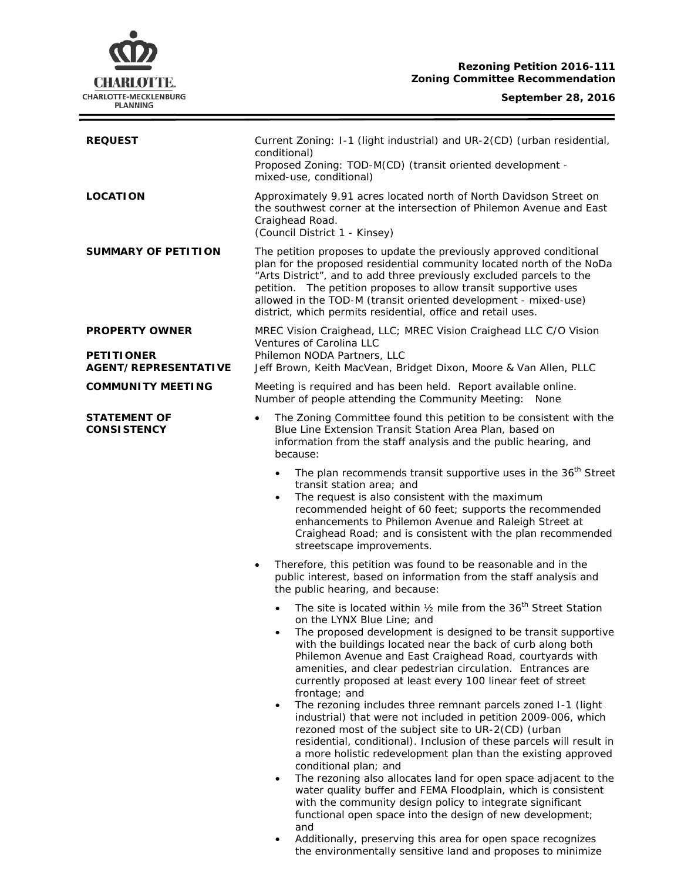# **CHARLOTTE.** CHARLOTTE-MECKLENBURG<br>PLANNING

Ξ

| <b>REQUEST</b>                                   | Current Zoning: I-1 (light industrial) and UR-2(CD) (urban residential,<br>conditional)<br>Proposed Zoning: TOD-M(CD) (transit oriented development -<br>mixed-use, conditional)                                                                                                                                                                                                                                                                                                                                                                                                                                                                                                                                                                                                                                                                                                                                                                                                                                                                                                                                                                                                            |  |  |
|--------------------------------------------------|---------------------------------------------------------------------------------------------------------------------------------------------------------------------------------------------------------------------------------------------------------------------------------------------------------------------------------------------------------------------------------------------------------------------------------------------------------------------------------------------------------------------------------------------------------------------------------------------------------------------------------------------------------------------------------------------------------------------------------------------------------------------------------------------------------------------------------------------------------------------------------------------------------------------------------------------------------------------------------------------------------------------------------------------------------------------------------------------------------------------------------------------------------------------------------------------|--|--|
| <b>LOCATION</b>                                  | Approximately 9.91 acres located north of North Davidson Street on<br>the southwest corner at the intersection of Philemon Avenue and East<br>Craighead Road.<br>(Council District 1 - Kinsey)                                                                                                                                                                                                                                                                                                                                                                                                                                                                                                                                                                                                                                                                                                                                                                                                                                                                                                                                                                                              |  |  |
| <b>SUMMARY OF PETITION</b>                       | The petition proposes to update the previously approved conditional<br>plan for the proposed residential community located north of the NoDa<br>"Arts District", and to add three previously excluded parcels to the<br>petition. The petition proposes to allow transit supportive uses<br>allowed in the TOD-M (transit oriented development - mixed-use)<br>district, which permits residential, office and retail uses.                                                                                                                                                                                                                                                                                                                                                                                                                                                                                                                                                                                                                                                                                                                                                                 |  |  |
| <b>PROPERTY OWNER</b>                            | MREC Vision Craighead, LLC; MREC Vision Craighead LLC C/O Vision                                                                                                                                                                                                                                                                                                                                                                                                                                                                                                                                                                                                                                                                                                                                                                                                                                                                                                                                                                                                                                                                                                                            |  |  |
| <b>PETITIONER</b><br><b>AGENT/REPRESENTATIVE</b> | Ventures of Carolina LLC<br>Philemon NODA Partners, LLC<br>Jeff Brown, Keith MacVean, Bridget Dixon, Moore & Van Allen, PLLC                                                                                                                                                                                                                                                                                                                                                                                                                                                                                                                                                                                                                                                                                                                                                                                                                                                                                                                                                                                                                                                                |  |  |
| <b>COMMUNITY MEETING</b>                         | Meeting is required and has been held. Report available online.<br>Number of people attending the Community Meeting: None                                                                                                                                                                                                                                                                                                                                                                                                                                                                                                                                                                                                                                                                                                                                                                                                                                                                                                                                                                                                                                                                   |  |  |
| <b>STATEMENT OF</b><br><b>CONSISTENCY</b>        | The Zoning Committee found this petition to be consistent with the<br>$\bullet$<br>Blue Line Extension Transit Station Area Plan, based on<br>information from the staff analysis and the public hearing, and<br>because:                                                                                                                                                                                                                                                                                                                                                                                                                                                                                                                                                                                                                                                                                                                                                                                                                                                                                                                                                                   |  |  |
|                                                  | The plan recommends transit supportive uses in the 36 <sup>th</sup> Street<br>$\bullet$<br>transit station area; and<br>The request is also consistent with the maximum<br>recommended height of 60 feet; supports the recommended<br>enhancements to Philemon Avenue and Raleigh Street at<br>Craighead Road; and is consistent with the plan recommended<br>streetscape improvements.                                                                                                                                                                                                                                                                                                                                                                                                                                                                                                                                                                                                                                                                                                                                                                                                     |  |  |
|                                                  | Therefore, this petition was found to be reasonable and in the<br>٠<br>public interest, based on information from the staff analysis and<br>the public hearing, and because:                                                                                                                                                                                                                                                                                                                                                                                                                                                                                                                                                                                                                                                                                                                                                                                                                                                                                                                                                                                                                |  |  |
|                                                  | The site is located within 1/2 mile from the 36 <sup>th</sup> Street Station<br>on the LYNX Blue Line; and<br>The proposed development is designed to be transit supportive<br>with the buildings located near the back of curb along both<br>Philemon Avenue and East Craighead Road, courtyards with<br>amenities, and clear pedestrian circulation. Entrances are<br>currently proposed at least every 100 linear feet of street<br>frontage; and<br>The rezoning includes three remnant parcels zoned I-1 (light<br>$\bullet$<br>industrial) that were not included in petition 2009-006, which<br>rezoned most of the subject site to UR-2(CD) (urban<br>residential, conditional). Inclusion of these parcels will result in<br>a more holistic redevelopment plan than the existing approved<br>conditional plan; and<br>The rezoning also allocates land for open space adjacent to the<br>$\bullet$<br>water quality buffer and FEMA Floodplain, which is consistent<br>with the community design policy to integrate significant<br>functional open space into the design of new development;<br>and<br>Additionally, preserving this area for open space recognizes<br>$\bullet$ |  |  |

the environmentally sensitive land and proposes to minimize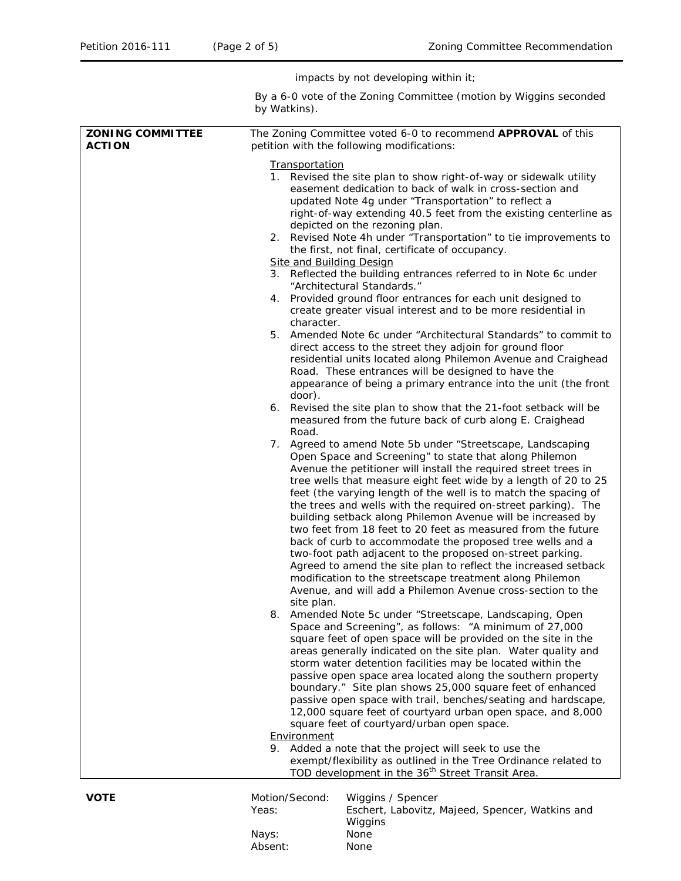impacts by not developing within it;

By a 6-0 vote of the Zoning Committee (motion by Wiggins seconded by Watkins).

| <b>ZONING COMMITTEE</b><br><b>ACTION</b> | The Zoning Committee voted 6-0 to recommend APPROVAL of this<br>petition with the following modifications:                                                                                                                                                                                                                                                                                                                                                                                                                                                                                                                                                                                                                                                                                                                                                                                                                                                                                                                                                                                                                                                                                                                                                                                                                                                                                                                                                                                                                                                                                                                                                                                                                                                                                                                                                                                                                                                                                                                                                                                                                                                                                                                                                                 |  |  |
|------------------------------------------|----------------------------------------------------------------------------------------------------------------------------------------------------------------------------------------------------------------------------------------------------------------------------------------------------------------------------------------------------------------------------------------------------------------------------------------------------------------------------------------------------------------------------------------------------------------------------------------------------------------------------------------------------------------------------------------------------------------------------------------------------------------------------------------------------------------------------------------------------------------------------------------------------------------------------------------------------------------------------------------------------------------------------------------------------------------------------------------------------------------------------------------------------------------------------------------------------------------------------------------------------------------------------------------------------------------------------------------------------------------------------------------------------------------------------------------------------------------------------------------------------------------------------------------------------------------------------------------------------------------------------------------------------------------------------------------------------------------------------------------------------------------------------------------------------------------------------------------------------------------------------------------------------------------------------------------------------------------------------------------------------------------------------------------------------------------------------------------------------------------------------------------------------------------------------------------------------------------------------------------------------------------------------|--|--|
|                                          | <b>Transportation</b><br>1. Revised the site plan to show right-of-way or sidewalk utility<br>easement dedication to back of walk in cross-section and<br>updated Note 4g under "Transportation" to reflect a<br>right-of-way extending 40.5 feet from the existing centerline as<br>depicted on the rezoning plan.<br>2. Revised Note 4h under "Transportation" to tie improvements to<br>the first, not final, certificate of occupancy.<br><b>Site and Building Design</b><br>3. Reflected the building entrances referred to in Note 6c under<br>"Architectural Standards."<br>4. Provided ground floor entrances for each unit designed to<br>create greater visual interest and to be more residential in<br>character.<br>5. Amended Note 6c under "Architectural Standards" to commit to<br>direct access to the street they adjoin for ground floor<br>residential units located along Philemon Avenue and Craighead<br>Road. These entrances will be designed to have the<br>appearance of being a primary entrance into the unit (the front<br>door).<br>6. Revised the site plan to show that the 21-foot setback will be<br>measured from the future back of curb along E. Craighead<br>Road.<br>7. Agreed to amend Note 5b under "Streetscape, Landscaping<br>Open Space and Screening" to state that along Philemon<br>Avenue the petitioner will install the required street trees in<br>tree wells that measure eight feet wide by a length of 20 to 25<br>feet (the varying length of the well is to match the spacing of<br>the trees and wells with the required on-street parking). The<br>building setback along Philemon Avenue will be increased by<br>two feet from 18 feet to 20 feet as measured from the future<br>back of curb to accommodate the proposed tree wells and a<br>two-foot path adjacent to the proposed on-street parking.<br>Agreed to amend the site plan to reflect the increased setback<br>modification to the streetscape treatment along Philemon<br>Avenue, and will add a Philemon Avenue cross-section to the<br>site plan.<br>Amended Note 5c under "Streetscape, Landscaping, Open<br>8.<br>Space and Screening", as follows: "A minimum of 27,000<br>square feet of open space will be provided on the site in the |  |  |
|                                          | areas generally indicated on the site plan. Water quality and<br>storm water detention facilities may be located within the<br>passive open space area located along the southern property<br>boundary." Site plan shows 25,000 square feet of enhanced<br>passive open space with trail, benches/seating and hardscape,<br>12,000 square feet of courtyard urban open space, and 8,000                                                                                                                                                                                                                                                                                                                                                                                                                                                                                                                                                                                                                                                                                                                                                                                                                                                                                                                                                                                                                                                                                                                                                                                                                                                                                                                                                                                                                                                                                                                                                                                                                                                                                                                                                                                                                                                                                    |  |  |
|                                          | square feet of courtyard/urban open space.<br>Environment<br>9. Added a note that the project will seek to use the<br>exempt/flexibility as outlined in the Tree Ordinance related to                                                                                                                                                                                                                                                                                                                                                                                                                                                                                                                                                                                                                                                                                                                                                                                                                                                                                                                                                                                                                                                                                                                                                                                                                                                                                                                                                                                                                                                                                                                                                                                                                                                                                                                                                                                                                                                                                                                                                                                                                                                                                      |  |  |
| <b>VOTE</b>                              | TOD development in the 36 <sup>th</sup> Street Transit Area.<br>Motion/Second:<br>Wiggins / Spencer                                                                                                                                                                                                                                                                                                                                                                                                                                                                                                                                                                                                                                                                                                                                                                                                                                                                                                                                                                                                                                                                                                                                                                                                                                                                                                                                                                                                                                                                                                                                                                                                                                                                                                                                                                                                                                                                                                                                                                                                                                                                                                                                                                        |  |  |

| Motion/Second: | Wiggins / Spencer                               |
|----------------|-------------------------------------------------|
| Yeas:          | Eschert, Labovitz, Majeed, Spencer, Watkins and |
|                | Wiggins                                         |
| Nays:          | None                                            |
| Absent:        | None                                            |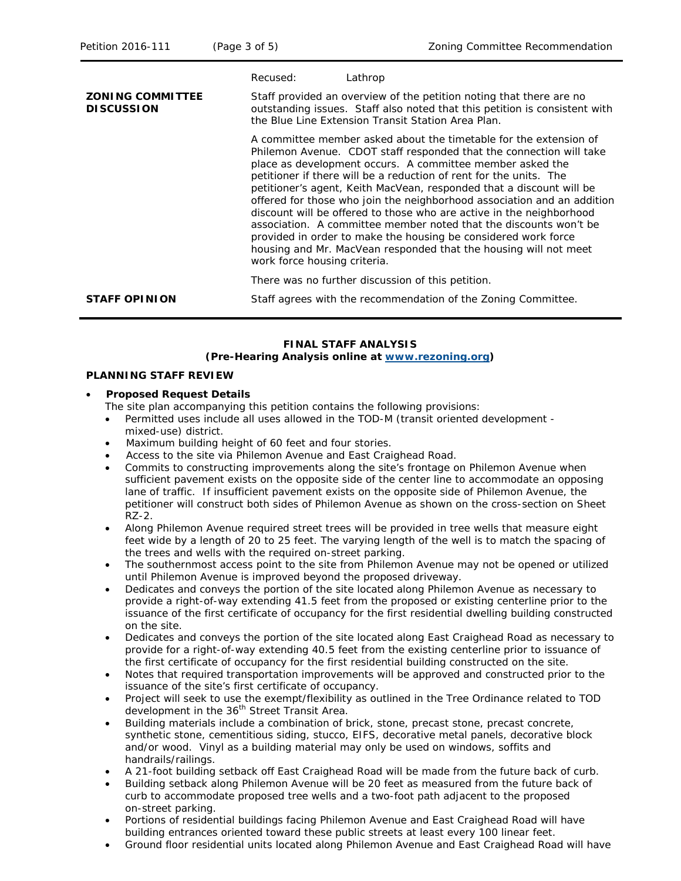|                                              | Recused:                                                                                                                                                                                                | Lathrop                                                                                                                                                                                                                                                                                                                                                                                                                                                                                                                                                                                                                                                                                                           |  |
|----------------------------------------------|---------------------------------------------------------------------------------------------------------------------------------------------------------------------------------------------------------|-------------------------------------------------------------------------------------------------------------------------------------------------------------------------------------------------------------------------------------------------------------------------------------------------------------------------------------------------------------------------------------------------------------------------------------------------------------------------------------------------------------------------------------------------------------------------------------------------------------------------------------------------------------------------------------------------------------------|--|
| <b>ZONING COMMITTEE</b><br><b>DISCUSSION</b> | Staff provided an overview of the petition noting that there are no<br>outstanding issues. Staff also noted that this petition is consistent with<br>the Blue Line Extension Transit Station Area Plan. |                                                                                                                                                                                                                                                                                                                                                                                                                                                                                                                                                                                                                                                                                                                   |  |
|                                              | work force housing criteria.                                                                                                                                                                            | A committee member asked about the timetable for the extension of<br>Philemon Avenue. CDOT staff responded that the connection will take<br>place as development occurs. A committee member asked the<br>petitioner if there will be a reduction of rent for the units. The<br>petitioner's agent, Keith MacVean, responded that a discount will be<br>offered for those who join the neighborhood association and an addition<br>discount will be offered to those who are active in the neighborhood<br>association. A committee member noted that the discounts won't be<br>provided in order to make the housing be considered work force<br>housing and Mr. MacVean responded that the housing will not meet |  |
|                                              |                                                                                                                                                                                                         | There was no further discussion of this petition.                                                                                                                                                                                                                                                                                                                                                                                                                                                                                                                                                                                                                                                                 |  |
| <b>STAFF OPINION</b>                         |                                                                                                                                                                                                         | Staff agrees with the recommendation of the Zoning Committee.                                                                                                                                                                                                                                                                                                                                                                                                                                                                                                                                                                                                                                                     |  |

#### **FINAL STAFF ANALYSIS (Pre-Hearing Analysis online at [www.rezoning.org\)](http://www.rezoning.org/)**

#### **PLANNING STAFF REVIEW**

#### • **Proposed Request Details**

The site plan accompanying this petition contains the following provisions:

- Permitted uses include all uses allowed in the TOD-M (transit oriented development mixed-use) district.
- Maximum building height of 60 feet and four stories.
- Access to the site via Philemon Avenue and East Craighead Road.
- Commits to constructing improvements along the site's frontage on Philemon Avenue when sufficient pavement exists on the opposite side of the center line to accommodate an opposing lane of traffic. If insufficient pavement exists on the opposite side of Philemon Avenue, the petitioner will construct both sides of Philemon Avenue as shown on the cross-section on Sheet RZ-2.
- Along Philemon Avenue required street trees will be provided in tree wells that measure eight feet wide by a length of 20 to 25 feet. The varying length of the well is to match the spacing of the trees and wells with the required on-street parking.
- The southernmost access point to the site from Philemon Avenue may not be opened or utilized until Philemon Avenue is improved beyond the proposed driveway.
- Dedicates and conveys the portion of the site located along Philemon Avenue as necessary to provide a right-of-way extending 41.5 feet from the proposed or existing centerline prior to the issuance of the first certificate of occupancy for the first residential dwelling building constructed on the site.
- Dedicates and conveys the portion of the site located along East Craighead Road as necessary to provide for a right-of-way extending 40.5 feet from the existing centerline prior to issuance of the first certificate of occupancy for the first residential building constructed on the site.
- Notes that required transportation improvements will be approved and constructed prior to the issuance of the site's first certificate of occupancy.
- Project will seek to use the exempt/flexibility as outlined in the Tree Ordinance related to TOD development in the 36<sup>th</sup> Street Transit Area.
- Building materials include a combination of brick, stone, precast stone, precast concrete, synthetic stone, cementitious siding, stucco, EIFS, decorative metal panels, decorative block and/or wood. Vinyl as a building material may only be used on windows, soffits and handrails/railings.
- A 21-foot building setback off East Craighead Road will be made from the future back of curb.
- Building setback along Philemon Avenue will be 20 feet as measured from the future back of curb to accommodate proposed tree wells and a two-foot path adjacent to the proposed on-street parking.
- Portions of residential buildings facing Philemon Avenue and East Craighead Road will have building entrances oriented toward these public streets at least every 100 linear feet.
- Ground floor residential units located along Philemon Avenue and East Craighead Road will have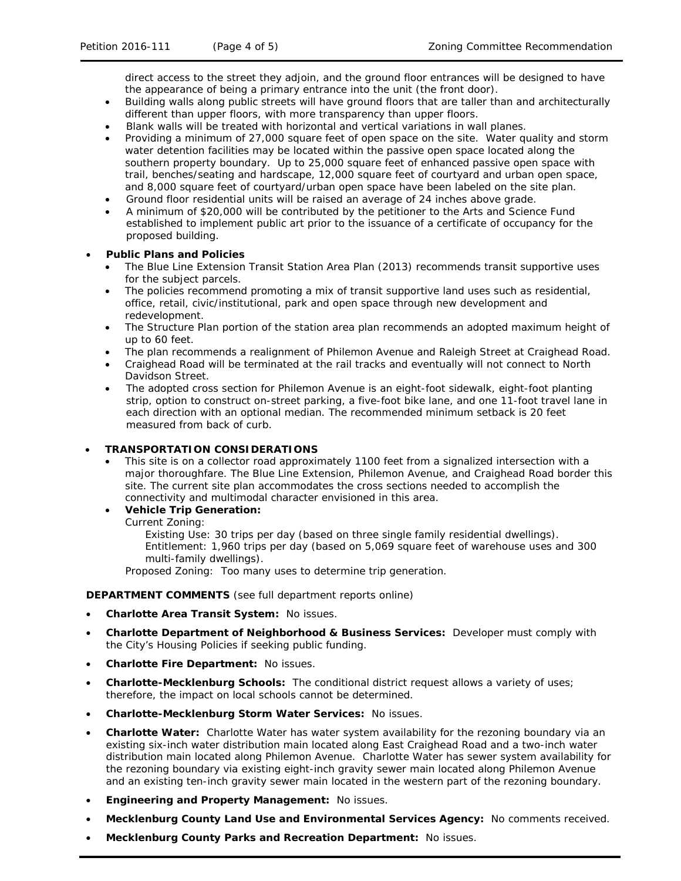direct access to the street they adjoin, and the ground floor entrances will be designed to have the appearance of being a primary entrance into the unit (the front door).

- Building walls along public streets will have ground floors that are taller than and architecturally different than upper floors, with more transparency than upper floors.
- Blank walls will be treated with horizontal and vertical variations in wall planes.
- Providing a minimum of 27,000 square feet of open space on the site. Water quality and storm water detention facilities may be located within the passive open space located along the southern property boundary. Up to 25,000 square feet of enhanced passive open space with trail, benches/seating and hardscape, 12,000 square feet of courtyard and urban open space, and 8,000 square feet of courtyard/urban open space have been labeled on the site plan.
- Ground floor residential units will be raised an average of 24 inches above grade.
- A minimum of \$20,000 will be contributed by the petitioner to the Arts and Science Fund established to implement public art prior to the issuance of a certificate of occupancy for the proposed building.

# • **Public Plans and Policies**

- The *Blue Line Extension Transit Station Area Plan* (2013) recommends transit supportive uses for the subject parcels.
- The policies recommend promoting a mix of transit supportive land uses such as residential, office, retail, civic/institutional, park and open space through new development and redevelopment.
- The Structure Plan portion of the station area plan recommends an adopted maximum height of up to 60 feet.
- The plan recommends a realignment of Philemon Avenue and Raleigh Street at Craighead Road.
- Craighead Road will be terminated at the rail tracks and eventually will not connect to North Davidson Street.
- The adopted cross section for Philemon Avenue is an eight-foot sidewalk, eight-foot planting strip, option to construct on-street parking, a five-foot bike lane, and one 11-foot travel lane in each direction with an optional median. The recommended minimum setback is 20 feet measured from back of curb.

# • **TRANSPORTATION CONSIDERATIONS**

• This site is on a collector road approximately 1100 feet from a signalized intersection with a major thoroughfare. The Blue Line Extension, Philemon Avenue, and Craighead Road border this site. The current site plan accommodates the cross sections needed to accomplish the connectivity and multimodal character envisioned in this area.

# • **Vehicle Trip Generation:**

Current Zoning:

Existing Use: 30 trips per day (based on three single family residential dwellings). Entitlement: 1,960 trips per day (based on 5,069 square feet of warehouse uses and 300 multi-family dwellings).

Proposed Zoning: Too many uses to determine trip generation.

# **DEPARTMENT COMMENTS** (see full department reports online)

- **Charlotte Area Transit System:** No issues.
- **Charlotte Department of Neighborhood & Business Services:** Developer must comply with the City's Housing Policies if seeking public funding.
- **Charlotte Fire Department:** No issues.
- **Charlotte-Mecklenburg Schools:** The conditional district request allows a variety of uses; therefore, the impact on local schools cannot be determined.
- **Charlotte-Mecklenburg Storm Water Services:** No issues.
- **Charlotte Water:** Charlotte Water has water system availability for the rezoning boundary via an existing six-inch water distribution main located along East Craighead Road and a two-inch water distribution main located along Philemon Avenue. Charlotte Water has sewer system availability for the rezoning boundary via existing eight-inch gravity sewer main located along Philemon Avenue and an existing ten-inch gravity sewer main located in the western part of the rezoning boundary.
- **Engineering and Property Management:** No issues.
- **Mecklenburg County Land Use and Environmental Services Agency:** No comments received.
- **Mecklenburg County Parks and Recreation Department:** No issues.